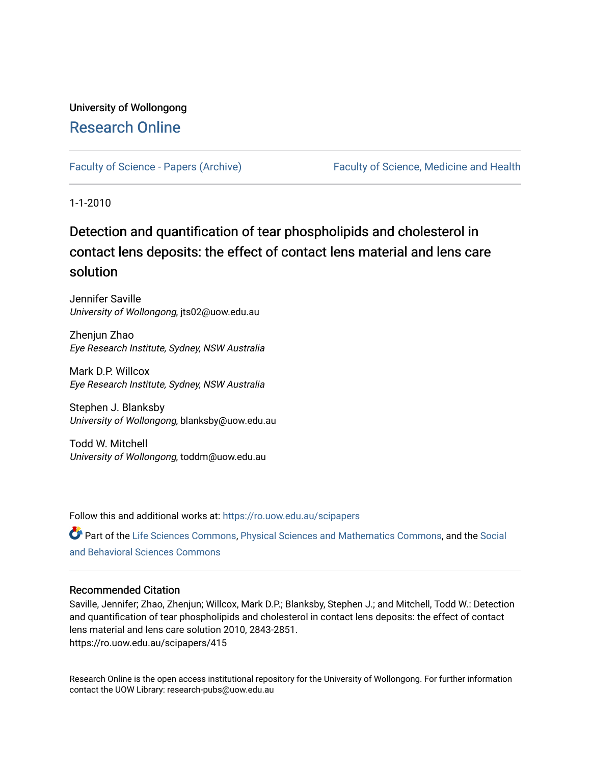## University of Wollongong [Research Online](https://ro.uow.edu.au/)

[Faculty of Science - Papers \(Archive\)](https://ro.uow.edu.au/scipapers) Faculty of Science, Medicine and Health

1-1-2010

# Detection and quantification of tear phospholipids and cholesterol in contact lens deposits: the effect of contact lens material and lens care solution

Jennifer Saville University of Wollongong, jts02@uow.edu.au

Zhenjun Zhao Eye Research Institute, Sydney, NSW Australia

Mark D.P. Willcox Eye Research Institute, Sydney, NSW Australia

Stephen J. Blanksby University of Wollongong, blanksby@uow.edu.au

Todd W. Mitchell University of Wollongong, toddm@uow.edu.au

Follow this and additional works at: [https://ro.uow.edu.au/scipapers](https://ro.uow.edu.au/scipapers?utm_source=ro.uow.edu.au%2Fscipapers%2F415&utm_medium=PDF&utm_campaign=PDFCoverPages)

Part of the [Life Sciences Commons,](http://network.bepress.com/hgg/discipline/1016?utm_source=ro.uow.edu.au%2Fscipapers%2F415&utm_medium=PDF&utm_campaign=PDFCoverPages) [Physical Sciences and Mathematics Commons,](http://network.bepress.com/hgg/discipline/114?utm_source=ro.uow.edu.au%2Fscipapers%2F415&utm_medium=PDF&utm_campaign=PDFCoverPages) and the Social [and Behavioral Sciences Commons](http://network.bepress.com/hgg/discipline/316?utm_source=ro.uow.edu.au%2Fscipapers%2F415&utm_medium=PDF&utm_campaign=PDFCoverPages) 

## Recommended Citation

Saville, Jennifer; Zhao, Zhenjun; Willcox, Mark D.P.; Blanksby, Stephen J.; and Mitchell, Todd W.: Detection and quantification of tear phospholipids and cholesterol in contact lens deposits: the effect of contact lens material and lens care solution 2010, 2843-2851. https://ro.uow.edu.au/scipapers/415

Research Online is the open access institutional repository for the University of Wollongong. For further information contact the UOW Library: research-pubs@uow.edu.au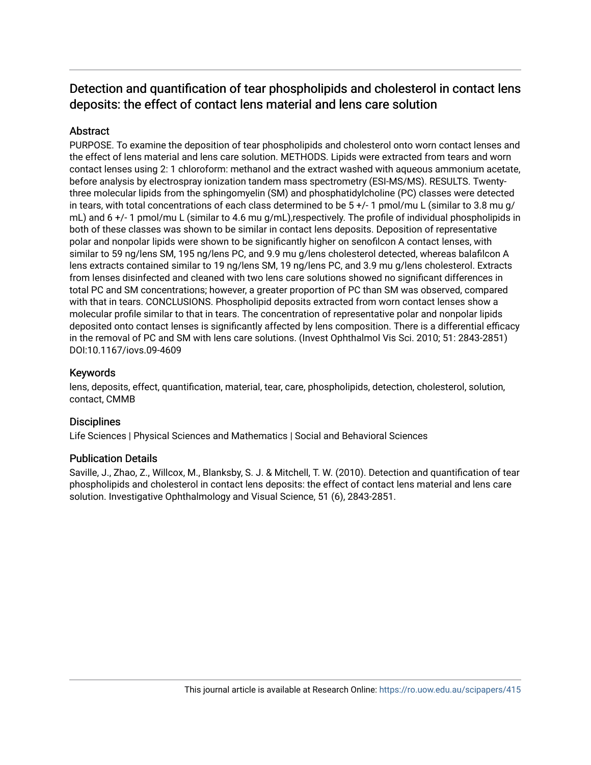## Detection and quantification of tear phospholipids and cholesterol in contact lens deposits: the effect of contact lens material and lens care solution

## **Abstract**

PURPOSE. To examine the deposition of tear phospholipids and cholesterol onto worn contact lenses and the effect of lens material and lens care solution. METHODS. Lipids were extracted from tears and worn contact lenses using 2: 1 chloroform: methanol and the extract washed with aqueous ammonium acetate, before analysis by electrospray ionization tandem mass spectrometry (ESI-MS/MS). RESULTS. Twentythree molecular lipids from the sphingomyelin (SM) and phosphatidylcholine (PC) classes were detected in tears, with total concentrations of each class determined to be 5 +/- 1 pmol/mu L (similar to 3.8 mu g/ mL) and 6 +/- 1 pmol/mu L (similar to 4.6 mu g/mL),respectively. The profile of individual phospholipids in both of these classes was shown to be similar in contact lens deposits. Deposition of representative polar and nonpolar lipids were shown to be significantly higher on senofilcon A contact lenses, with similar to 59 ng/lens SM, 195 ng/lens PC, and 9.9 mu g/lens cholesterol detected, whereas balafilcon A lens extracts contained similar to 19 ng/lens SM, 19 ng/lens PC, and 3.9 mu g/lens cholesterol. Extracts from lenses disinfected and cleaned with two lens care solutions showed no significant differences in total PC and SM concentrations; however, a greater proportion of PC than SM was observed, compared with that in tears. CONCLUSIONS. Phospholipid deposits extracted from worn contact lenses show a molecular profile similar to that in tears. The concentration of representative polar and nonpolar lipids deposited onto contact lenses is significantly affected by lens composition. There is a differential efficacy in the removal of PC and SM with lens care solutions. (Invest Ophthalmol Vis Sci. 2010; 51: 2843-2851) DOI:10.1167/iovs.09-4609

## Keywords

lens, deposits, effect, quantification, material, tear, care, phospholipids, detection, cholesterol, solution, contact, CMMB

## **Disciplines**

Life Sciences | Physical Sciences and Mathematics | Social and Behavioral Sciences

### Publication Details

Saville, J., Zhao, Z., Willcox, M., Blanksby, S. J. & Mitchell, T. W. (2010). Detection and quantification of tear phospholipids and cholesterol in contact lens deposits: the effect of contact lens material and lens care solution. Investigative Ophthalmology and Visual Science, 51 (6), 2843-2851.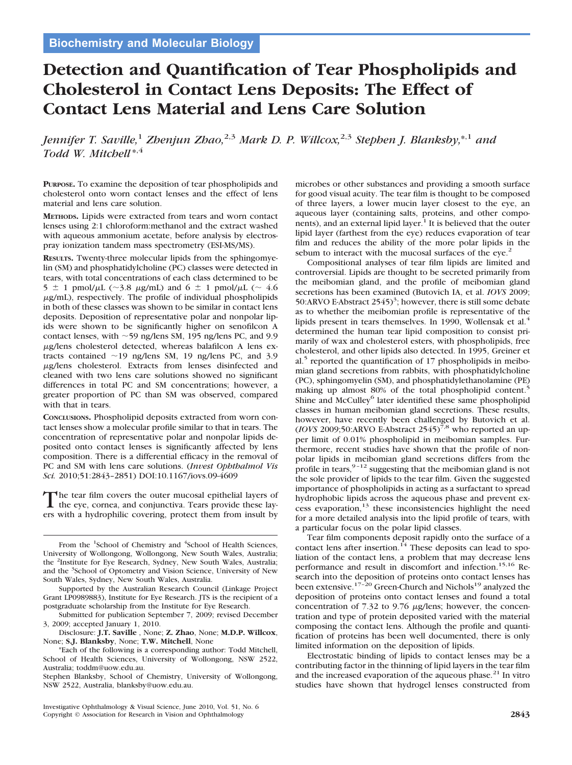# **Detection and Quantification of Tear Phospholipids and Cholesterol in Contact Lens Deposits: The Effect of Contact Lens Material and Lens Care Solution**

*Jennifer T. Saville,*<sup>1</sup> *Zhenjun Zhao,*2,3 *Mark D. P. Willcox,*2,3 *Stephen J. Blanksby,*\* ,1 *and Todd W. Mitchell*\* ,4

**PURPOSE.** To examine the deposition of tear phospholipids and cholesterol onto worn contact lenses and the effect of lens material and lens care solution.

**METHODS.** Lipids were extracted from tears and worn contact lenses using 2:1 chloroform:methanol and the extract washed with aqueous ammonium acetate, before analysis by electrospray ionization tandem mass spectrometry (ESI-MS/MS).

**RESULTS.** Twenty-three molecular lipids from the sphingomyelin (SM) and phosphatidylcholine (PC) classes were detected in tears, with total concentrations of each class determined to be  $5 \pm 1$  pmol/ $\mu$ L (~3.8  $\mu$ g/mL) and 6  $\pm$  1 pmol/ $\mu$ L (~4.6  $\mu$ g/mL), respectively. The profile of individual phospholipids in both of these classes was shown to be similar in contact lens deposits. Deposition of representative polar and nonpolar lipids were shown to be significantly higher on senofilcon A contact lenses, with  $\sim$  59 ng/lens SM, 195 ng/lens PC, and 9.9  $\mu$ g/lens cholesterol detected, whereas balafilcon A lens extracts contained  $\sim$ 19 ng/lens SM, 19 ng/lens PC, and 3.9  $\mu$ g/lens cholesterol. Extracts from lenses disinfected and cleaned with two lens care solutions showed no significant differences in total PC and SM concentrations; however, a greater proportion of PC than SM was observed, compared with that in tears.

**CONCLUSIONS.** Phospholipid deposits extracted from worn contact lenses show a molecular profile similar to that in tears. The concentration of representative polar and nonpolar lipids deposited onto contact lenses is significantly affected by lens composition. There is a differential efficacy in the removal of PC and SM with lens care solutions. (*Invest Ophthalmol Vis Sci.* 2010;51:2843–2851) DOI:10.1167/iovs.09-4609

The tear film covers the outer mucosal epithelial layers of the eye, cornea, and conjunctiva. Tears provide these layers with a hydrophilic covering, protect them from insult by

microbes or other substances and providing a smooth surface for good visual acuity. The tear film is thought to be composed of three layers, a lower mucin layer closest to the eye, an aqueous layer (containing salts, proteins, and other components), and an external lipid layer. $1$  It is believed that the outer lipid layer (farthest from the eye) reduces evaporation of tear film and reduces the ability of the more polar lipids in the sebum to interact with the mucosal surfaces of the eye.<sup>2</sup>

Compositional analyses of tear film lipids are limited and controversial. Lipids are thought to be secreted primarily from the meibomian gland, and the profile of meibomian gland secretions has been examined (Butovich IA, et al. *IOVS* 2009; 50:ARVO E-Abstract 2545)<sup>3</sup>; however, there is still some debate as to whether the meibomian profile is representative of the lipids present in tears themselves. In 1990, Wollensak et al.<sup>4</sup> determined the human tear lipid composition to consist primarily of wax and cholesterol esters, with phospholipids, free cholesterol, and other lipids also detected. In 1995, Greiner et al.<sup>5</sup> reported the quantification of 17 phospholipids in meibomian gland secretions from rabbits, with phosphatidylcholine (PC), sphingomyelin (SM), and phosphatidylethanolamine (PE) making up almost 80% of the total phospholipid content.<sup>5</sup> Shine and McCulley<sup>6</sup> later identified these same phospholipid classes in human meibomian gland secretions. These results, however, have recently been challenged by Butovich et al.  $(IOVS 2009; 50: ARVO E-Abstract 2545)^{7,8}$  who reported an upper limit of 0.01% phospholipid in meibomian samples. Furthermore, recent studies have shown that the profile of nonpolar lipids in meibomian gland secretions differs from the profile in tears,  $9-12$  suggesting that the meibomian gland is not the sole provider of lipids to the tear film. Given the suggested importance of phospholipids in acting as a surfactant to spread hydrophobic lipids across the aqueous phase and prevent excess evaporation,<sup>13</sup> these inconsistencies highlight the need for a more detailed analysis into the lipid profile of tears, with a particular focus on the polar lipid classes.

Tear film components deposit rapidly onto the surface of a contact lens after insertion.<sup>14</sup> These deposits can lead to spoliation of the contact lens, a problem that may decrease lens performance and result in discomfort and infection.<sup>15,16</sup> Research into the deposition of proteins onto contact lenses has<br>been extensive.<sup>17–20</sup> Green-Church and Nichols<sup>19</sup> analyzed the deposition of proteins onto contact lenses and found a total concentration of  $7.32$  to  $9.76$   $\mu$ g/lens; however, the concentration and type of protein deposited varied with the material composing the contact lens. Although the profile and quantification of proteins has been well documented, there is only limited information on the deposition of lipids.

Electrostatic binding of lipids to contact lenses may be a contributing factor in the thinning of lipid layers in the tear film and the increased evaporation of the aqueous phase.<sup>21</sup> In vitro studies have shown that hydrogel lenses constructed from

From the <sup>1</sup>School of Chemistry and <sup>4</sup>School of Health Sciences, University of Wollongong, Wollongong, New South Wales, Australia; the <sup>2</sup>Institute for Eye Research, Sydney, New South Wales, Australia; and the <sup>3</sup>School of Optometry and Vision Science, University of New South Wales, Sydney, New South Wales, Australia.

Supported by the Australian Research Council (Linkage Project Grant LP0989883), Institute for Eye Research. JTS is the recipient of a postgraduate scholarship from the Institute for Eye Research.

Submitted for publication September 7, 2009; revised December 3, 2009; accepted January 1, 2010.

Disclosure: **J.T. Saville** , None; **Z. Zhao**, None; **M.D.P. Willcox**, None; **S.J. Blanksby**, None; **T.W. Mitchell**, None

<sup>\*</sup>Each of the following is a corresponding author: Todd Mitchell, School of Health Sciences, University of Wollongong, NSW 2522, Australia; toddm@uow.edu.au.

Stephen Blanksby, School of Chemistry, University of Wollongong, NSW 2522, Australia, blanksby@uow.edu.au.

Investigative Ophthalmology & Visual Science, June 2010, Vol. 51, No. 6 Copyright © Association for Research in Vision and Ophthalmology **2843**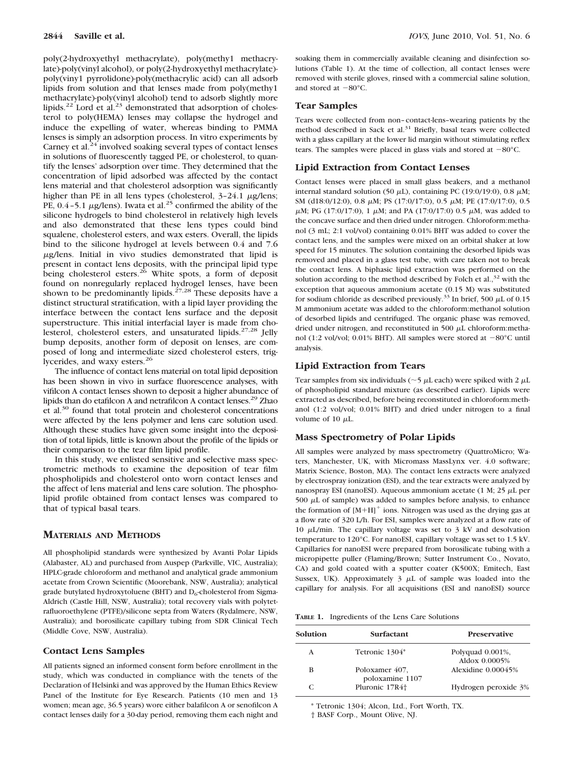poly(2-hydroxyethyl methacrylate), poly(methy1 methacrylate)-poly(vinyl alcohol), or poly(2-hydroxyethyl methacrylate) poly(viny1 pyrrolidone)-poly(methacrylic acid) can all adsorb lipids from solution and that lenses made from poly(methy1 methacrylate)-poly(vinyl alcohol) tend to adsorb slightly more lipids.<sup>22</sup> Lord et al.<sup>23</sup> demonstrated that adsorption of cholesterol to poly(HEMA) lenses may collapse the hydrogel and induce the expelling of water, whereas binding to PMMA lenses is simply an adsorption process. In vitro experiments by Carney et al.<sup>24</sup> involved soaking several types of contact lenses in solutions of fluorescently tagged PE, or cholesterol, to quantify the lenses' adsorption over time. They determined that the concentration of lipid adsorbed was affected by the contact lens material and that cholesterol adsorption was significantly higher than PE in all lens types (cholesterol,  $3-24.1 \mu$ g/lens; PE,  $0.4$ -5.1  $\mu$ g/lens). Iwata et al.<sup>25</sup> confirmed the ability of the silicone hydrogels to bind cholesterol in relatively high levels and also demonstrated that these lens types could bind squalene, cholesterol esters, and wax esters. Overall, the lipids bind to the silicone hydrogel at levels between 0.4 and 7.6  $\mu$ g/lens. Initial in vivo studies demonstrated that lipid is present in contact lens deposits, with the principal lipid type being cholesterol esters.<sup>26</sup> White spots, a form of deposit found on nonregularly replaced hydrogel lenses, have been<br>shown to be predominantly lipids.<sup>27,28</sup> These deposits have a distinct structural stratification, with a lipid layer providing the interface between the contact lens surface and the deposit superstructure. This initial interfacial layer is made from cholesterol, cholesterol esters, and unsaturated lipids.<sup>27,28</sup> Jelly bump deposits, another form of deposit on lenses, are composed of long and intermediate sized cholesterol esters, triglycerides, and waxy esters.<sup>26</sup>

The influence of contact lens material on total lipid deposition has been shown in vivo in surface fluorescence analyses, with vifilcon A contact lenses shown to deposit a higher abundance of lipids than do etafilcon A and netrafilcon A contact lenses.<sup>29</sup> Zhao et al.30 found that total protein and cholesterol concentrations were affected by the lens polymer and lens care solution used. Although these studies have given some insight into the deposition of total lipids, little is known about the profile of the lipids or their comparison to the tear film lipid profile.

In this study, we enlisted sensitive and selective mass spectrometric methods to examine the deposition of tear film phospholipids and cholesterol onto worn contact lenses and the affect of lens material and lens care solution. The phospholipid profile obtained from contact lenses was compared to that of typical basal tears.

#### **MATERIALS AND METHODS**

All phospholipid standards were synthesized by Avanti Polar Lipids (Alabaster, AL) and purchased from Auspep (Parkville, VIC, Australia); HPLC-grade chloroform and methanol and analytical grade ammonium acetate from Crown Scientific (Moorebank, NSW, Australia); analytical grade butylated hydroxytoluene (BHT) and  $D_6$ -cholesterol from Sigma-Aldrich (Castle Hill, NSW, Australia); total recovery vials with polytetrafluoroethylene (PTFE)/silicone septa from Waters (Rydalmere, NSW, Australia); and borosilicate capillary tubing from SDR Clinical Tech (Middle Cove, NSW, Australia).

#### **Contact Lens Samples**

All patients signed an informed consent form before enrollment in the study, which was conducted in compliance with the tenets of the Declaration of Helsinki and was approved by the Human Ethics Review Panel of the Institute for Eye Research. Patients (10 men and 13 women; mean age, 36.5 years) wore either balafilcon A or senofilcon A contact lenses daily for a 30-day period, removing them each night and soaking them in commercially available cleaning and disinfection solutions (Table 1). At the time of collection, all contact lenses were removed with sterile gloves, rinsed with a commercial saline solution, and stored at  $-80^{\circ}$ C.

#### **Tear Samples**

Tears were collected from non–contact-lens–wearing patients by the method described in Sack et al.<sup>31</sup> Briefly, basal tears were collected with a glass capillary at the lower lid margin without stimulating reflex tears. The samples were placed in glass vials and stored at  $-80^{\circ}$ C.

#### **Lipid Extraction from Contact Lenses**

Contact lenses were placed in small glass beakers, and a methanol internal standard solution (50  $\mu$ L), containing PC (19:0/19:0), 0.8  $\mu$ M; SM (d18:0/12:0), 0.8 μM; PS (17:0/17:0), 0.5 μM; PE (17:0/17:0), 0.5  $\mu$ M; PG (17:0/17:0), 1  $\mu$ M; and PA (17:0/17:0) 0.5  $\mu$ M, was added to the concave surface and then dried under nitrogen. Chloroform:methanol (3 mL; 2:1 vol/vol) containing 0.01% BHT was added to cover the contact lens, and the samples were mixed on an orbital shaker at low speed for 15 minutes. The solution containing the desorbed lipids was removed and placed in a glass test tube, with care taken not to break the contact lens. A biphasic lipid extraction was performed on the solution according to the method described by Folch et al., $32$  with the exception that aqueous ammonium acetate (0.15 M) was substituted for sodium chloride as described previously.<sup>33</sup> In brief, 500  $\mu$ L of 0.15 M ammonium acetate was added to the chloroform:methanol solution of desorbed lipids and centrifuged. The organic phase was removed, dried under nitrogen, and reconstituted in 500  $\mu$ L chloroform:methanol (1:2 vol/vol; 0.01% BHT). All samples were stored at  $-80^{\circ}$ C until analysis.

#### **Lipid Extraction from Tears**

Tear samples from six individuals ( $\sim$ 5  $\mu$ L each) were spiked with 2  $\mu$ L of phospholipid standard mixture (as described earlier). Lipids were extracted as described, before being reconstituted in chloroform:methanol (1:2 vol/vol; 0.01% BHT) and dried under nitrogen to a final volume of  $10 \mu L$ .

#### **Mass Spectrometry of Polar Lipids**

All samples were analyzed by mass spectrometry (QuattroMicro; Waters, Manchester, UK, with Micromass MassLynx ver. 4.0 software; Matrix Science, Boston, MA). The contact lens extracts were analyzed by electrospray ionization (ESI), and the tear extracts were analyzed by nanospray ESI (nanoESI). Aqueous ammonium acetate (1 M;  $25 \mu L$  per 500  $\mu$ L of sample) was added to samples before analysis, to enhance the formation of  $[M+H]$ <sup>+</sup> ions. Nitrogen was used as the drying gas at a flow rate of 320 L/h. For ESI, samples were analyzed at a flow rate of 10  $\mu$ L/min. The capillary voltage was set to 3 kV and desolvation temperature to 120°C. For nanoESI, capillary voltage was set to 1.5 kV. Capillaries for nanoESI were prepared from borosilicate tubing with a micropipette puller (Flaming/Brown; Sutter Instrument Co., Novato, CA) and gold coated with a sputter coater (K500X; Emitech, East Sussex, UK). Approximately  $3 \mu$ L of sample was loaded into the capillary for analysis. For all acquisitions (ESI and nanoESI) source

**TABLE 1.** Ingredients of the Lens Care Solutions

| Solution | Surfactant                        | <b>Preservative</b>               |  |  |  |  |
|----------|-----------------------------------|-----------------------------------|--|--|--|--|
| A        | Tetronic 1304*                    | Polyquad 0.001%,<br>Aldox 0.0005% |  |  |  |  |
| B        | Poloxamer 407.<br>poloxamine 1107 | Alexidine $0.00045%$              |  |  |  |  |
|          | Pluronic 17R4 <sup>+</sup>        | Hydrogen peroxide 3%              |  |  |  |  |

\* Tetronic 1304; Alcon, Ltd., Fort Worth, TX.

† BASF Corp., Mount Olive, NJ.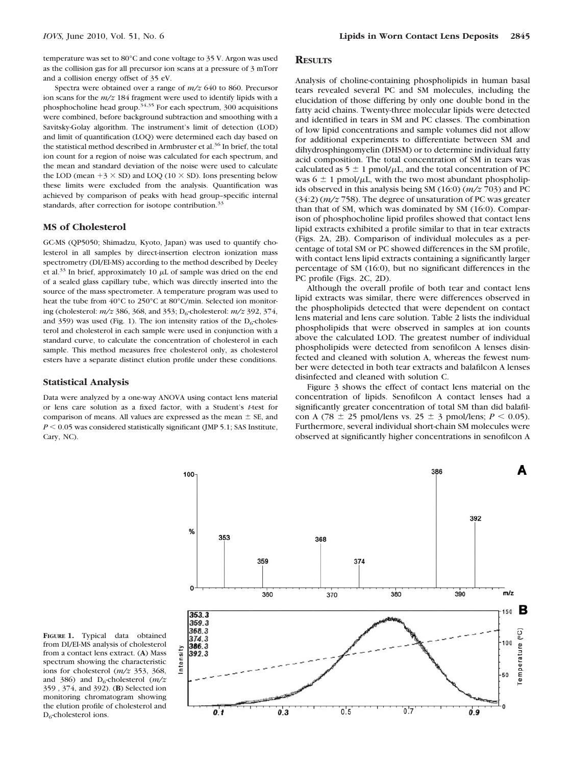temperature was set to 80°C and cone voltage to 35 V. Argon was used as the collision gas for all precursor ion scans at a pressure of 3 mTorr and a collision energy offset of 35 eV.

Spectra were obtained over a range of *m/z* 640 to 860. Precursor ion scans for the *m/z* 184 fragment were used to identify lipids with a phosphocholine head group.<sup>34,35</sup> For each spectrum, 300 acquisitions were combined, before background subtraction and smoothing with a Savitsky-Golay algorithm. The instrument's limit of detection (LOD) and limit of quantification (LOQ) were determined each day based on the statistical method described in Armbruster et al.<sup>36</sup> In brief, the total ion count for a region of noise was calculated for each spectrum, and the mean and standard deviation of the noise were used to calculate the LOD (mean  $+3 \times$  SD) and LOQ (10  $\times$  SD). Ions presenting below these limits were excluded from the analysis. Quantification was achieved by comparison of peaks with head group–specific internal standards, after correction for isotope contribution.<sup>33</sup>

#### **MS of Cholesterol**

GC-MS (QP5050; Shimadzu, Kyoto, Japan) was used to quantify cholesterol in all samples by direct-insertion electron ionization mass spectrometry (DI/EI-MS) according to the method described by Deeley et al.<sup>33</sup> In brief, approximately 10  $\mu$ L of sample was dried on the end of a sealed glass capillary tube, which was directly inserted into the source of the mass spectrometer. A temperature program was used to heat the tube from 40°C to 250°C at 80°C/min. Selected ion monitoring (cholesterol:  $m/z$  386, 368, and 353; D<sub>6</sub>-cholesterol:  $m/z$  392, 374, and 359) was used (Fig. 1). The ion intensity ratios of the  $D_6$ -cholesterol and cholesterol in each sample were used in conjunction with a standard curve, to calculate the concentration of cholesterol in each sample. This method measures free cholesterol only, as cholesterol esters have a separate distinct elution profile under these conditions.

#### **Statistical Analysis**

Data were analyzed by a one-way ANOVA using contact lens material or lens care solution as a fixed factor, with a Student's *t*-test for comparison of means. All values are expressed as the mean  $\pm$  SE, and *P* & 0.05 was considered statistically significant (JMP 5.1; SAS Institute, Cary, NC).

#### **RESULTS**

Analysis of choline-containing phospholipids in human basal tears revealed several PC and SM molecules, including the elucidation of those differing by only one double bond in the fatty acid chains. Twenty-three molecular lipids were detected and identified in tears in SM and PC classes. The combination of low lipid concentrations and sample volumes did not allow for additional experiments to differentiate between SM and dihydrosphingomyelin (DHSM) or to determine individual fatty acid composition. The total concentration of SM in tears was calculated as  $5 \pm 1$  pmol/ $\mu$ L, and the total concentration of PC was  $6 \pm 1$  pmol/ $\mu$ L, with the two most abundant phospholipids observed in this analysis being SM (16:0) (*m/z* 703) and PC (34:2) (*m/z* 758). The degree of unsaturation of PC was greater than that of SM, which was dominated by SM (16:0). Comparison of phosphocholine lipid profiles showed that contact lens lipid extracts exhibited a profile similar to that in tear extracts (Figs. 2A, 2B). Comparison of individual molecules as a percentage of total SM or PC showed differences in the SM profile, with contact lens lipid extracts containing a significantly larger percentage of SM (16:0), but no significant differences in the PC profile (Figs. 2C, 2D).

Although the overall profile of both tear and contact lens lipid extracts was similar, there were differences observed in the phospholipids detected that were dependent on contact lens material and lens care solution. Table 2 lists the individual phospholipids that were observed in samples at ion counts above the calculated LOD. The greatest number of individual phospholipids were detected from senofilcon A lenses disinfected and cleaned with solution A, whereas the fewest number were detected in both tear extracts and balafilcon A lenses disinfected and cleaned with solution C.

Figure 3 shows the effect of contact lens material on the concentration of lipids. Senofilcon A contact lenses had a significantly greater concentration of total SM than did balafilcon A (78  $\pm$  25 pmol/lens vs. 25  $\pm$  3 pmol/lens; *P* < 0.05). Furthermore, several individual short-chain SM molecules were observed at significantly higher concentrations in senofilcon A



**FIGURE 1.** Typical data obtained from DI/EI-MS analysis of cholesterol from a contact lens extract. (**A**) Mass spectrum showing the characteristic ions for cholesterol (*m/z* 353, 368, and 386) and  $D_6$ -cholesterol  $(m/z)$ 359 , 374, and 392). (**B**) Selected ion monitoring chromatogram showing the elution profile of cholesterol and D<sub>6</sub>-cholesterol ions.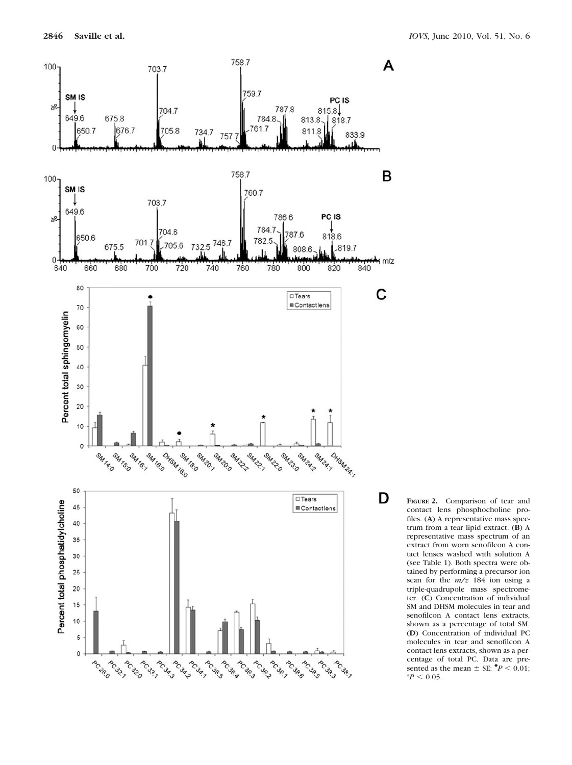

**FIGURE 2.** Comparison of tear and contact lens phosphocholine profiles. (**A**) A representative mass spectrum from a tear lipid extract. (**B**) A representative mass spectrum of an extract from worn senofilcon A contact lenses washed with solution A (see Table 1). Both spectra were obtained by performing a precursor ion scan for the *m/z* 184 ion using a triple-quadrupole mass spectrometer. (**C**) Concentration of individual SM and DHSM molecules in tear and senofilcon A contact lens extracts, shown as a percentage of total SM. (**D**) Concentration of individual PC molecules in tear and senofilcon A contact lens extracts, shown as a percentage of total PC. Data are presented as the mean  $\pm$  SE:  $\degree P$  < 0.01;  $*P < 0.05$ .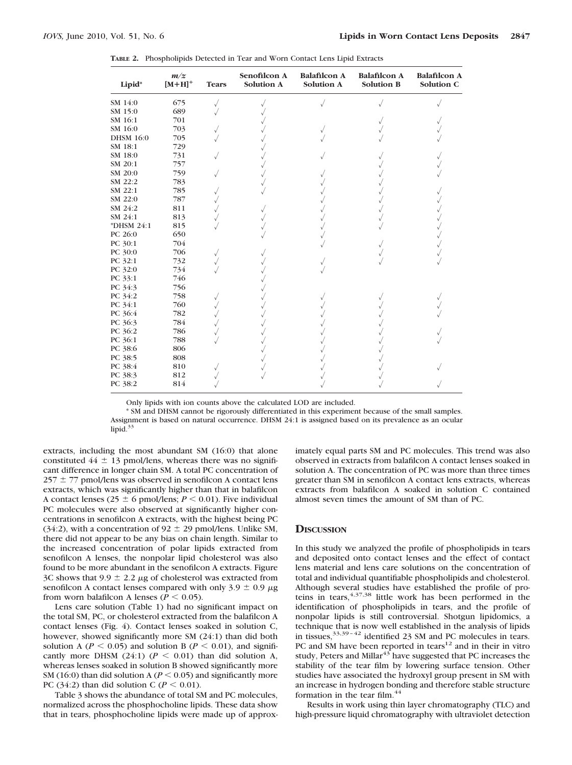| TABLE 2. Phospholipids Detected in Tear and Worn Contact Lens Lipid Extracts |  |  |  |  |
|------------------------------------------------------------------------------|--|--|--|--|
|                                                                              |  |  |  |  |

| Lipid*     | m/z<br>$[M+H]$ <sup>+</sup> | <b>Tears</b> | Senofilcon A<br>Solution A | <b>Balafilcon A</b><br>Solution A | <b>Balafilcon A</b><br><b>Solution B</b> | <b>Balafilcon A</b><br>Solution C |
|------------|-----------------------------|--------------|----------------------------|-----------------------------------|------------------------------------------|-----------------------------------|
| SM 14:0    | 675                         |              |                            |                                   |                                          |                                   |
| SM 15:0    | 689                         |              |                            |                                   |                                          |                                   |
| SM 16:1    | 701                         |              |                            |                                   |                                          |                                   |
| SM 16:0    | 703                         |              |                            |                                   |                                          |                                   |
| DHSM 16:0  | 705                         |              |                            |                                   |                                          |                                   |
| SM 18:1    | 729                         |              |                            |                                   |                                          |                                   |
| SM 18:0    | 731                         |              |                            |                                   |                                          |                                   |
| SM 20:1    | 757                         |              |                            |                                   |                                          |                                   |
| SM 20:0    | 759                         |              |                            |                                   |                                          |                                   |
| SM 22:2    | 783                         |              |                            |                                   |                                          |                                   |
| SM 22:1    | 785                         |              |                            |                                   |                                          |                                   |
| SM 22:0    | 787                         |              |                            |                                   |                                          |                                   |
| SM 24:2    | 811                         |              |                            |                                   |                                          |                                   |
| SM 24:1    | 813                         |              |                            |                                   |                                          |                                   |
| *DHSM 24:1 | 815                         |              |                            |                                   |                                          |                                   |
| PC 26:0    | 650                         |              |                            |                                   |                                          |                                   |
| PC 30:1    | 704                         |              |                            |                                   |                                          |                                   |
| PC 30:0    | 706                         |              |                            |                                   |                                          |                                   |
| PC 32:1    | 732                         |              |                            |                                   |                                          |                                   |
| PC 32:0    | 734                         |              |                            |                                   |                                          |                                   |
| PC 33:1    | 746                         |              |                            |                                   |                                          |                                   |
| PC 34:3    | 756                         |              |                            |                                   |                                          |                                   |
| PC 34:2    | 758                         |              |                            |                                   |                                          |                                   |
| PC 34:1    | 760                         |              |                            |                                   |                                          |                                   |
| PC 36:4    | 782                         |              |                            |                                   |                                          |                                   |
| PC 36:3    | 784                         |              |                            |                                   |                                          |                                   |
| PC 36:2    | 786                         |              |                            |                                   |                                          |                                   |
| PC 36:1    | 788                         |              |                            |                                   |                                          |                                   |
| PC 38:6    | 806                         |              |                            |                                   |                                          |                                   |
| PC 38:5    | 808                         |              |                            |                                   |                                          |                                   |
| PC 38:4    | 810                         |              |                            |                                   |                                          |                                   |
| PC 38:3    | 812                         |              |                            |                                   |                                          |                                   |
| PC 38:2    | 814                         |              |                            |                                   |                                          |                                   |
|            |                             |              |                            |                                   |                                          |                                   |

Only lipids with ion counts above the calculated LOD are included.

\* SM and DHSM cannot be rigorously differentiated in this experiment because of the small samples. Assignment is based on natural occurrence. DHSM 24:1 is assigned based on its prevalence as an ocular lipid $33$ 

extracts, including the most abundant SM (16:0) that alone constituted  $44 \pm 13$  pmol/lens, whereas there was no significant difference in longer chain SM. A total PC concentration of  $257 \pm 77$  pmol/lens was observed in senofilcon A contact lens extracts, which was significantly higher than that in balafilcon A contact lenses (25  $\pm$  6 pmol/lens; *P* < 0.01). Five individual PC molecules were also observed at significantly higher concentrations in senofilcon A extracts, with the highest being PC (34:2), with a concentration of 92  $\pm$  29 pmol/lens. Unlike SM, there did not appear to be any bias on chain length. Similar to the increased concentration of polar lipids extracted from senofilcon A lenses, the nonpolar lipid cholesterol was also found to be more abundant in the senofilcon A extracts. Figure 3C shows that 9.9  $\pm$  2.2  $\mu$ g of cholesterol was extracted from senofilcon A contact lenses compared with only  $3.9 \pm 0.9 \mu$ g from worn balafilcon A lenses ( $P \le 0.05$ ).

Lens care solution (Table 1) had no significant impact on the total SM, PC, or cholesterol extracted from the balafilcon A contact lenses (Fig. 4). Contact lenses soaked in solution C, however, showed significantly more SM (24:1) than did both solution A ( $P \le 0.05$ ) and solution B ( $P \le 0.01$ ), and significantly more DHSM  $(24:1)$   $(P < 0.01)$  than did solution A, whereas lenses soaked in solution B showed significantly more SM (16:0) than did solution A ( $P < 0.05$ ) and significantly more PC (34:2) than did solution C ( $P \le 0.01$ ).

Table 3 shows the abundance of total SM and PC molecules, normalized across the phosphocholine lipids. These data show that in tears, phosphocholine lipids were made up of approx-

imately equal parts SM and PC molecules. This trend was also observed in extracts from balafilcon A contact lenses soaked in solution A. The concentration of PC was more than three times greater than SM in senofilcon A contact lens extracts, whereas extracts from balafilcon A soaked in solution C contained almost seven times the amount of SM than of PC.

#### **DISCUSSION**

In this study we analyzed the profile of phospholipids in tears and deposited onto contact lenses and the effect of contact lens material and lens care solutions on the concentration of total and individual quantifiable phospholipids and cholesterol. Although several studies have established the profile of proteins in tears,  $4,37,38$  little work has been performed in the identification of phospholipids in tears, and the profile of nonpolar lipids is still controversial. Shotgun lipidomics, a technique that is now well established in the analysis of lipids in tissues,  $33,39 - 42$  identified 23 SM and PC molecules in tears. PC and SM have been reported in tears $12$  and in their in vitro study, Peters and Millar<sup>43</sup> have suggested that PC increases the stability of the tear film by lowering surface tension. Other studies have associated the hydroxyl group present in SM with an increase in hydrogen bonding and therefore stable structure formation in the tear film. $44$ 

Results in work using thin layer chromatography (TLC) and high-pressure liquid chromatography with ultraviolet detection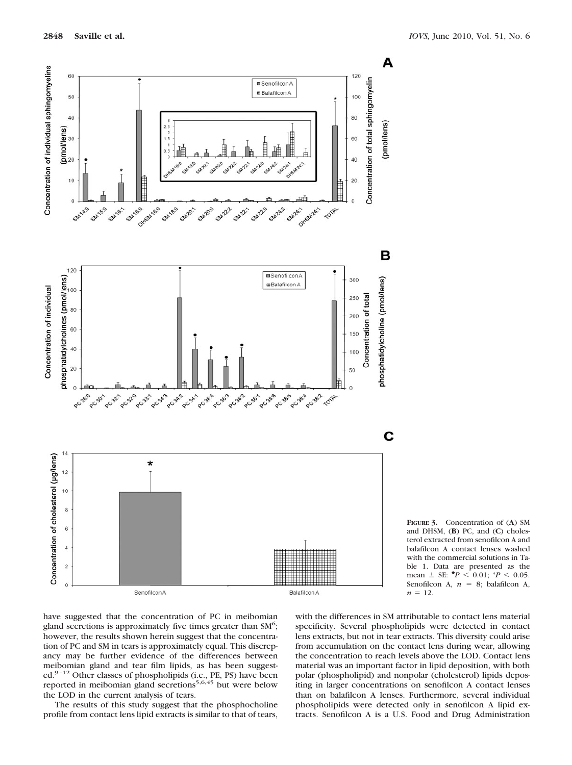



have suggested that the concentration of PC in meibomian gland secretions is approximately five times greater than  $SM^6$ ; however, the results shown herein suggest that the concentration of PC and SM in tears is approximately equal. This discrepancy may be further evidence of the differences between meibomian gland and tear film lipids, as has been suggested.<sup>9-12</sup> Other classes of phospholipids (i.e., PE, PS) have been reported in meibomian gland secretions<sup>5,6,45</sup> but were below the LOD in the current analysis of tears.

The results of this study suggest that the phosphocholine profile from contact lens lipid extracts is similar to that of tears,

with the differences in SM attributable to contact lens material specificity. Several phospholipids were detected in contact lens extracts, but not in tear extracts. This diversity could arise from accumulation on the contact lens during wear, allowing the concentration to reach levels above the LOD. Contact lens material was an important factor in lipid deposition, with both polar (phospholipid) and nonpolar (cholesterol) lipids depositing in larger concentrations on senofilcon A contact lenses than on balafilcon A lenses. Furthermore, several individual phospholipids were detected only in senofilcon A lipid extracts. Senofilcon A is a U.S. Food and Drug Administration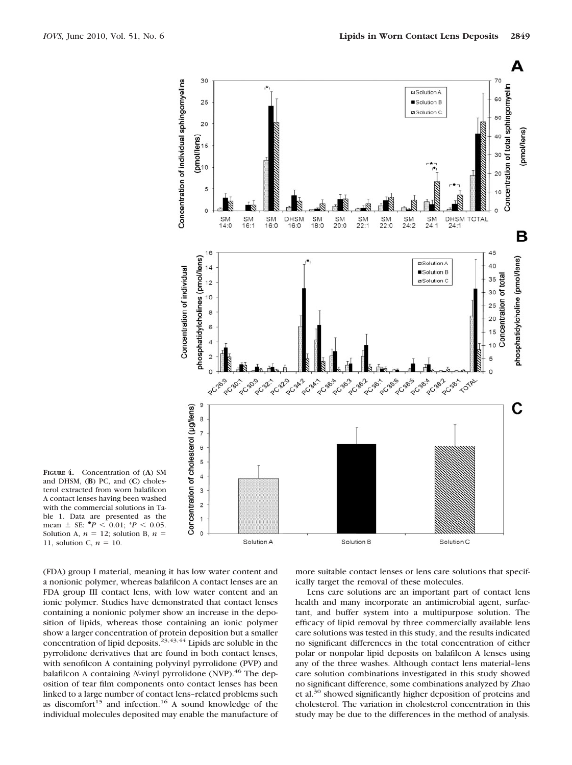

**FIGURE 4.** Concentration of (**A**) SM and DHSM, (**B**) PC, and (**C**) cholesterol extracted from worn balafilcon A contact lenses having been washed with the commercial solutions in Table 1. Data are presented as the mean  $\pm$  SE:  $\degree P$  < 0.01;  $\degree P$  < 0.05. Solution A,  $n = 12$ ; solution B,  $n =$ 11, solution C,  $n = 10$ .

(FDA) group I material, meaning it has low water content and a nonionic polymer, whereas balafilcon A contact lenses are an FDA group III contact lens, with low water content and an ionic polymer. Studies have demonstrated that contact lenses containing a nonionic polymer show an increase in the deposition of lipids, whereas those containing an ionic polymer show a larger concentration of protein deposition but a smaller concentration of lipid deposits.<sup>23,43,44</sup> Lipids are soluble in the pyrrolidone derivatives that are found in both contact lenses, with senofilcon A containing polyvinyl pyrrolidone (PVP) and balafilcon A containing *N*-vinyl pyrrolidone (NVP).<sup>46</sup> The deposition of tear film components onto contact lenses has been linked to a large number of contact lens–related problems such as discomfort<sup>15</sup> and infection.<sup>16</sup> A sound knowledge of the individual molecules deposited may enable the manufacture of

more suitable contact lenses or lens care solutions that specifically target the removal of these molecules.

Lens care solutions are an important part of contact lens health and many incorporate an antimicrobial agent, surfactant, and buffer system into a multipurpose solution. The efficacy of lipid removal by three commercially available lens care solutions was tested in this study, and the results indicated no significant differences in the total concentration of either polar or nonpolar lipid deposits on balafilcon A lenses using any of the three washes. Although contact lens material–lens care solution combinations investigated in this study showed no significant difference, some combinations analyzed by Zhao et al.30 showed significantly higher deposition of proteins and cholesterol. The variation in cholesterol concentration in this study may be due to the differences in the method of analysis.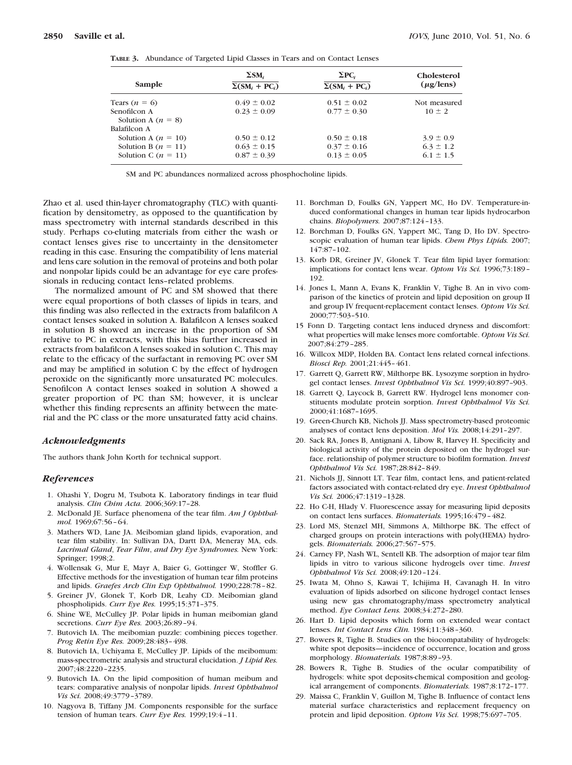| Sample                               | $\Sigma S M_i$<br>$\Sigma(SM_i + PC_i)$ | $\Sigma PC_i$<br>$\Sigma(SM_i + PC_i)$ | Cholesterol<br>$(\mu$ g/lens) |  |
|--------------------------------------|-----------------------------------------|----------------------------------------|-------------------------------|--|
| Tears $(n = 6)$                      | $0.49 \pm 0.02$                         | $0.51 \pm 0.02$                        | Not measured                  |  |
| Senofilcon A<br>Solution A $(n = 8)$ | $0.23 \pm 0.09$                         | $0.77 \pm 0.30$                        | $10 \pm 2$                    |  |
| Balafilcon A                         |                                         |                                        |                               |  |
| Solution A ( $n = 10$ )              | $0.50 \pm 0.12$                         | $0.50 \pm 0.18$                        | $3.9 \pm 0.9$                 |  |
| Solution B ( $n = 11$ )              | $0.63 \pm 0.15$                         | $0.37 \pm 0.16$                        | $6.3 \pm 1.2$                 |  |
| Solution C $(n = 11)$                | $0.87 \pm 0.39$                         | $0.13 \pm 0.05$                        | $6.1 \pm 1.5$                 |  |

|  | <b>TABLE 3.</b> Abundance of Targeted Lipid Classes in Tears and on Contact Lenses |  |  |  |  |  |  |  |  |  |
|--|------------------------------------------------------------------------------------|--|--|--|--|--|--|--|--|--|
|--|------------------------------------------------------------------------------------|--|--|--|--|--|--|--|--|--|

SM and PC abundances normalized across phosphocholine lipids.

Zhao et al. used thin-layer chromatography (TLC) with quantification by densitometry, as opposed to the quantification by mass spectrometry with internal standards described in this study. Perhaps co-eluting materials from either the wash or contact lenses gives rise to uncertainty in the densitometer reading in this case. Ensuring the compatibility of lens material and lens care solution in the removal of proteins and both polar and nonpolar lipids could be an advantage for eye care professionals in reducing contact lens–related problems.

The normalized amount of PC and SM showed that there were equal proportions of both classes of lipids in tears, and this finding was also reflected in the extracts from balafilcon A contact lenses soaked in solution A. Balafilcon A lenses soaked in solution B showed an increase in the proportion of SM relative to PC in extracts, with this bias further increased in extracts from balafilcon A lenses soaked in solution C. This may relate to the efficacy of the surfactant in removing PC over SM and may be amplified in solution C by the effect of hydrogen peroxide on the significantly more unsaturated PC molecules. Senofilcon A contact lenses soaked in solution A showed a greater proportion of PC than SM; however, it is unclear whether this finding represents an affinity between the material and the PC class or the more unsaturated fatty acid chains.

#### *Acknowledgments*

The authors thank John Korth for technical support.

#### *References*

- 1. Ohashi Y, Dogru M, Tsubota K. Laboratory findings in tear fluid analysis. *Clin Chim Acta.* 2006;369:17–28.
- 2. McDonald JE. Surface phenomena of the tear film. *Am J Ophthalmol.* 1969;67:56 – 64.
- 3. Mathers WD, Lane JA. Meibomian gland lipids, evaporation, and tear film stability. In: Sullivan DA, Dartt DA, Meneray MA, eds. *Lacrimal Gland*, *Tear Film*, *and Dry Eye Syndromes.* New York: Springer; 1998;2.
- 4. Wollensak G, Mur E, Mayr A, Baier G, Gottinger W, Stoffler G. Effective methods for the investigation of human tear film proteins and lipids. *Graefes Arch Clin Exp Ophthalmol.* 1990;228:78 – 82.
- 5. Greiner JV, Glonek T, Korb DR, Leahy CD. Meibomian gland phospholipids. *Curr Eye Res.* 1995;15:371–375.
- 6. Shine WE, McCulley JP. Polar lipids in human meibomian gland secretions. *Curr Eye Res.* 2003;26:89 –94.
- 7. Butovich IA. The meibomian puzzle: combining pieces together. *Prog Retin Eye Res.* 2009;28:483– 498.
- 8. Butovich IA, Uchiyama E, McCulley JP. Lipids of the meibomum: mass-spectrometric analysis and structural elucidation. *J Lipid Res.* 2007;48:2220 –2235.
- 9. Butovich IA. On the lipid composition of human meibum and tears: comparative analysis of nonpolar lipids. *Invest Ophthalmol Vis Sci.* 2008;49:3779 –3789.
- 10. Nagyova B, Tiffany JM. Components responsible for the surface tension of human tears. *Curr Eye Res.* 1999;19:4 –11.
- 11. Borchman D, Foulks GN, Yappert MC, Ho DV. Temperature-induced conformational changes in human tear lipids hydrocarbon chains. *Biopolymers.* 2007;87:124 –133.
- 12. Borchman D, Foulks GN, Yappert MC, Tang D, Ho DV. Spectroscopic evaluation of human tear lipids. *Chem Phys Lipids.* 2007; 147:87–102.
- 13. Korb DR, Greiner JV, Glonek T. Tear film lipid layer formation: implications for contact lens wear. *Optom Vis Sci.* 1996;73:189 – 192.
- 14. Jones L, Mann A, Evans K, Franklin V, Tighe B. An in vivo comparison of the kinetics of protein and lipid deposition on group II and group IV frequent-replacement contact lenses. *Optom Vis Sci.* 2000;77:503–510.
- 15 Fonn D. Targeting contact lens induced dryness and discomfort: what properties will make lenses more comfortable. *Optom Vis Sci.* 2007;84:279 –285.
- 16. Willcox MDP, Holden BA. Contact lens related corneal infections. *Biosci Rep.* 2001;21:445– 461.
- 17. Garrett Q, Garrett RW, Milthorpe BK. Lysozyme sorption in hydrogel contact lenses. *Invest Ophthalmol Vis Sci.* 1999;40:897-903.
- 18. Garrett Q, Laycock B, Garrett RW. Hydrogel lens monomer constituents modulate protein sorption. *Invest Ophthalmol Vis Sci.* 2000;41:1687–1695.
- 19. Green-Church KB, Nichols JJ. Mass spectrometry-based proteomic analyses of contact lens deposition. *Mol Vis.* 2008;14:291–297.
- 20. Sack RA, Jones B, Antignani A, Libow R, Harvey H. Specificity and biological activity of the protein deposited on the hydrogel surface. relationship of polymer structure to biofilm formation. *Invest Ophthalmol Vis Sci.* 1987;28:842– 849.
- 21. Nichols JJ, Sinnott LT. Tear film, contact lens, and patient-related factors associated with contact-related dry eye. *Invest Ophthalmol Vis Sci.* 2006;47:1319 –1328.
- 22. Ho C-H, Hlady V. Fluorescence assay for measuring lipid deposits on contact lens surfaces. *Biomaterials.* 1995;16:479 – 482.
- 23. Lord MS, Stenzel MH, Simmons A, Milthorpe BK. The effect of charged groups on protein interactions with poly(HEMA) hydrogels. *Biomaterials.* 2006;27:567–575.
- 24. Carney FP, Nash WL, Sentell KB. The adsorption of major tear film lipids in vitro to various silicone hydrogels over time. *Invest Ophthalmol Vis Sci.* 2008;49:120 –124.
- 25. Iwata M, Ohno S, Kawai T, Ichijima H, Cavanagh H. In vitro evaluation of lipids adsorbed on silicone hydrogel contact lenses using new gas chromatography/mass spectrometry analytical method. *Eye Contact Lens.* 2008;34:272–280.
- 26. Hart D. Lipid deposits which form on extended wear contact lenses. *Int Contact Lens Clin.* 1984;11:348 –360.
- 27. Bowers R, Tighe B. Studies on the biocompatability of hydrogels: white spot deposits—incidence of occurrence, location and gross morphology. *Biomaterials.* 1987;8:89 –93.
- 28. Bowers R, Tighe B. Studies of the ocular compatibility of hydrogels: white spot deposits-chemical composition and geological arrangement of components. *Biomaterials.* 1987;8:172–177.
- 29. Maissa C, Franklin V, Guillon M, Tighe B. Influence of contact lens material surface characteristics and replacement frequency on protein and lipid deposition. *Optom Vis Sci.* 1998;75:697–705.